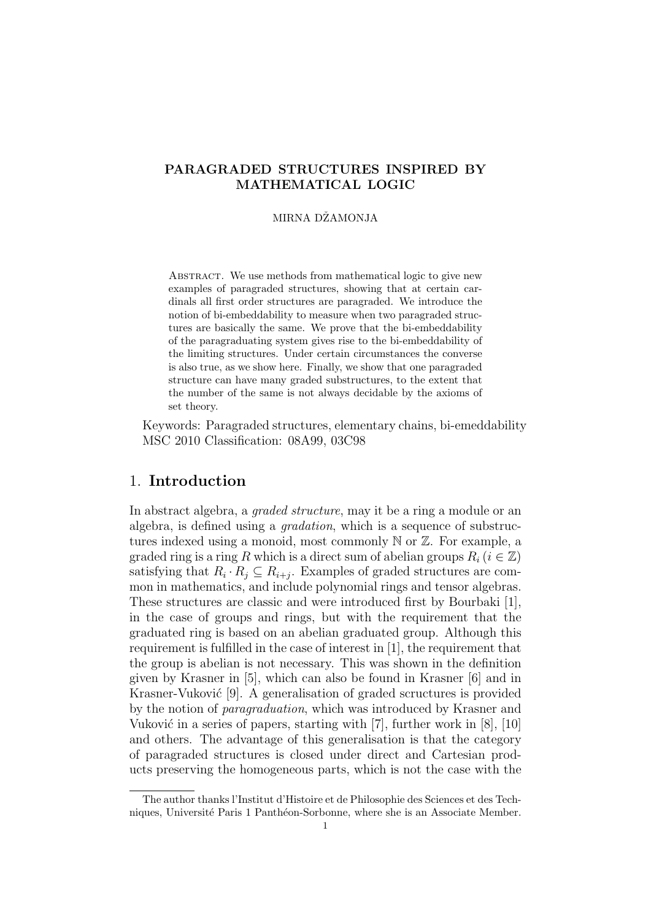## PARAGRADED STRUCTURES INSPIRED BY MATHEMATICAL LOGIC

#### MIRNA DŽAMONJA

ABSTRACT. We use methods from mathematical logic to give new examples of paragraded structures, showing that at certain cardinals all first order structures are paragraded. We introduce the notion of bi-embeddability to measure when two paragraded structures are basically the same. We prove that the bi-embeddability of the paragraduating system gives rise to the bi-embeddability of the limiting structures. Under certain circumstances the converse is also true, as we show here. Finally, we show that one paragraded structure can have many graded substructures, to the extent that the number of the same is not always decidable by the axioms of set theory.

Keywords: Paragraded structures, elementary chains, bi-emeddability MSC 2010 Classification: 08A99, 03C98

### 1. Introduction

In abstract algebra, a graded structure, may it be a ring a module or an algebra, is defined using a gradation, which is a sequence of substructures indexed using a monoid, most commonly N or Z. For example, a graded ring is a ring R which is a direct sum of abelian groups  $R_i$  ( $i \in \mathbb{Z}$ ) satisfying that  $R_i \cdot R_j \subseteq R_{i+j}$ . Examples of graded structures are common in mathematics, and include polynomial rings and tensor algebras. These structures are classic and were introduced first by Bourbaki [1], in the case of groups and rings, but with the requirement that the graduated ring is based on an abelian graduated group. Although this requirement is fulfilled in the case of interest in [1], the requirement that the group is abelian is not necessary. This was shown in the definition given by Krasner in [5], which can also be found in Krasner [6] and in Krasner-Vuković [9]. A generalisation of graded scructures is provided by the notion of paragraduation, which was introduced by Krasner and Vuković in a series of papers, starting with  $[7]$ , further work in  $[8]$ ,  $[10]$ and others. The advantage of this generalisation is that the category of paragraded structures is closed under direct and Cartesian products preserving the homogeneous parts, which is not the case with the

The author thanks l'Institut d'Histoire et de Philosophie des Sciences et des Techniques, Université Paris 1 Panthéon-Sorbonne, where she is an Associate Member.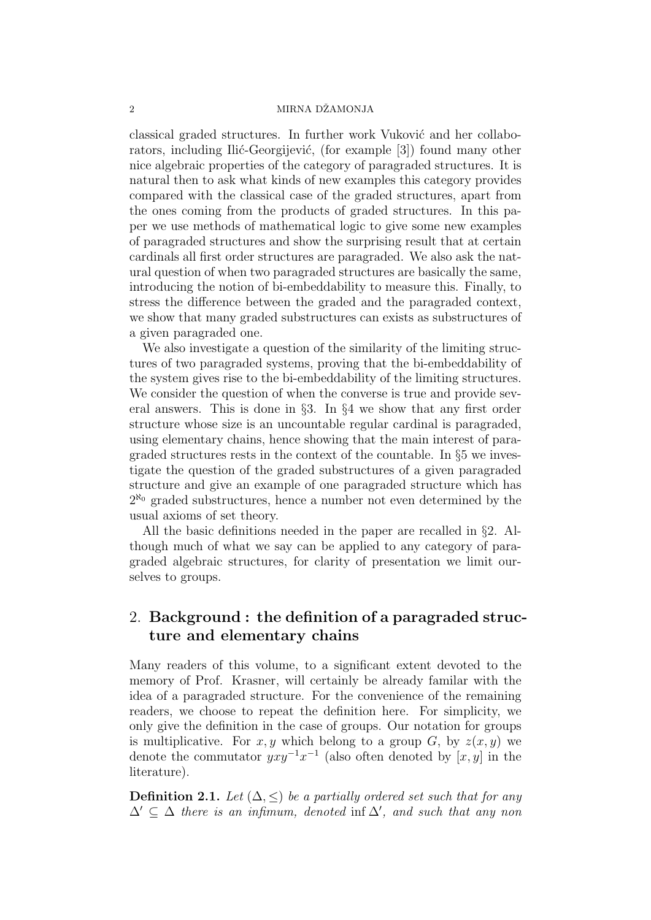#### 2 MIRNA DŻAMONJA

classical graded structures. In further work Vuković and her collaborators, including Ilić-Georgijević, (for example [3]) found many other nice algebraic properties of the category of paragraded structures. It is natural then to ask what kinds of new examples this category provides compared with the classical case of the graded structures, apart from the ones coming from the products of graded structures. In this paper we use methods of mathematical logic to give some new examples of paragraded structures and show the surprising result that at certain cardinals all first order structures are paragraded. We also ask the natural question of when two paragraded structures are basically the same, introducing the notion of bi-embeddability to measure this. Finally, to stress the difference between the graded and the paragraded context, we show that many graded substructures can exists as substructures of a given paragraded one.

We also investigate a question of the similarity of the limiting structures of two paragraded systems, proving that the bi-embeddability of the system gives rise to the bi-embeddability of the limiting structures. We consider the question of when the converse is true and provide several answers. This is done in §3. In §4 we show that any first order structure whose size is an uncountable regular cardinal is paragraded, using elementary chains, hence showing that the main interest of paragraded structures rests in the context of the countable. In §5 we investigate the question of the graded substructures of a given paragraded structure and give an example of one paragraded structure which has  $2^{\aleph_0}$  graded substructures, hence a number not even determined by the usual axioms of set theory.

All the basic definitions needed in the paper are recalled in §2. Although much of what we say can be applied to any category of paragraded algebraic structures, for clarity of presentation we limit ourselves to groups.

# 2. Background : the definition of a paragraded structure and elementary chains

Many readers of this volume, to a significant extent devoted to the memory of Prof. Krasner, will certainly be already familar with the idea of a paragraded structure. For the convenience of the remaining readers, we choose to repeat the definition here. For simplicity, we only give the definition in the case of groups. Our notation for groups is multiplicative. For x, y which belong to a group G, by  $z(x, y)$  we denote the commutator  $yxy^{-1}x^{-1}$  (also often denoted by  $[x, y]$  in the literature).

**Definition 2.1.** Let  $(\Delta, \leq)$  be a partially ordered set such that for any  $\Delta' \subseteq \Delta$  there is an infimum, denoted inf  $\Delta'$ , and such that any non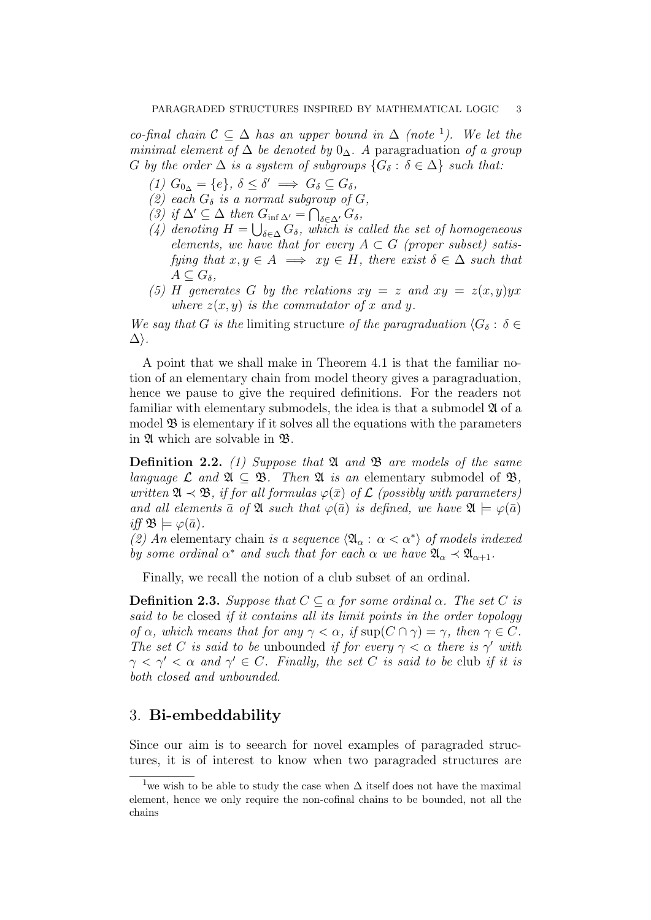co-final chain  $\mathcal{C} \subseteq \Delta$  has an upper bound in  $\Delta$  (note <sup>1</sup>). We let the minimal element of  $\Delta$  be denoted by  $0_{\Delta}$ . A paragraduation of a group G by the order  $\Delta$  is a system of subgroups  $\{G_\delta : \delta \in \Delta\}$  such that:

- (1)  $G_{0_{\Delta}} = \{e\}, \delta \leq \delta' \implies G_{\delta} \subseteq G_{\delta},$
- (2) each  $G_{\delta}$  is a normal subgroup of G,
- (3) if  $\Delta' \subseteq \Delta$  then  $G_{\inf \Delta'} = \bigcap_{\delta \in \Delta'} G_{\delta}$ ,
- (4) denoting  $H = \bigcup_{\delta \in \Delta} G_{\delta}$ , which is called the set of homogeneous elements, we have that for every  $A \subset G$  (proper subset) satisfying that  $x, y \in A \implies xy \in H$ , there exist  $\delta \in \Delta$  such that  $A\subseteq G_{\delta},$
- (5) H generates G by the relations  $xy = z$  and  $xy = z(x, y)yx$ where  $z(x, y)$  is the commutator of x and y.

We say that G is the limiting structure of the paragraduation  $\langle G_\delta : \delta \in$  $\Delta$ ).

A point that we shall make in Theorem 4.1 is that the familiar notion of an elementary chain from model theory gives a paragraduation, hence we pause to give the required definitions. For the readers not familiar with elementary submodels, the idea is that a submodel  $\mathfrak A$  of a model  $\mathfrak B$  is elementary if it solves all the equations with the parameters in A which are solvable in B.

**Definition 2.2.** (1) Suppose that  $\mathfrak{A}$  and  $\mathfrak{B}$  are models of the same language  $\mathcal L$  and  $\mathfrak{A} \subset \mathfrak{B}$ . Then  $\mathfrak{A}$  is an elementary submodel of  $\mathfrak{B}$ , written  $\mathfrak{A} \prec \mathfrak{B}$ , if for all formulas  $\varphi(\bar{x})$  of  $\mathcal L$  (possibly with parameters) and all elements  $\bar{a}$  of  $\mathfrak{A}$  such that  $\varphi(\bar{a})$  is defined, we have  $\mathfrak{A} \models \varphi(\bar{a})$ iff  $\mathfrak{B} \models \varphi(\bar{a})$ .

(2) An elementary chain is a sequence  $\langle \mathfrak{A}_{\alpha} : \alpha < \alpha^* \rangle$  of models indexed by some ordinal  $\alpha^*$  and such that for each  $\alpha$  we have  $\mathfrak{A}_{\alpha} \prec \mathfrak{A}_{\alpha+1}$ .

Finally, we recall the notion of a club subset of an ordinal.

**Definition 2.3.** Suppose that  $C \subseteq \alpha$  for some ordinal  $\alpha$ . The set C is said to be closed if it contains all its limit points in the order topology of  $\alpha$ , which means that for any  $\gamma < \alpha$ , if  $\sup(C \cap \gamma) = \gamma$ , then  $\gamma \in C$ . The set C is said to be unbounded if for every  $\gamma < \alpha$  there is  $\gamma'$  with  $\gamma < \gamma' < \alpha$  and  $\gamma' \in C$ . Finally, the set C is said to be club if it is both closed and unbounded.

## 3. Bi-embeddability

Since our aim is to seearch for novel examples of paragraded structures, it is of interest to know when two paragraded structures are

<sup>&</sup>lt;sup>1</sup>we wish to be able to study the case when  $\Delta$  itself does not have the maximal element, hence we only require the non-cofinal chains to be bounded, not all the chains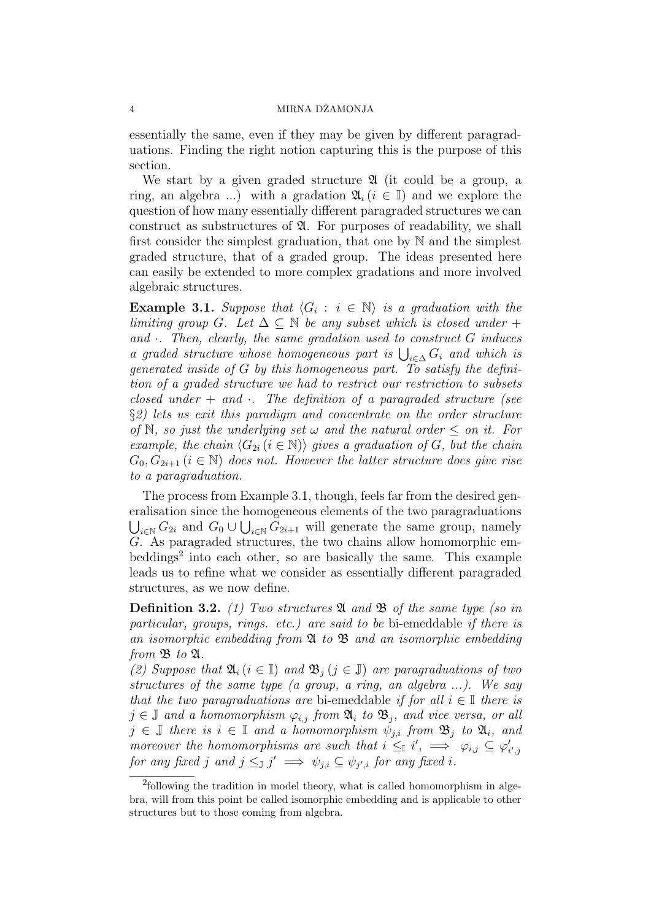#### 4 MIRNA DŽAMONJA

essentially the same, even if they may be given by different paragraduations. Finding the right notion capturing this is the purpose of this section.

We start by a given graded structure  $\mathfrak A$  (it could be a group, a ring, an algebra ...) with a gradation  $\mathfrak{A}_i$  ( $i \in \mathbb{I}$ ) and we explore the question of how many essentially different paragraded structures we can construct as substructures of  $\mathfrak{A}$ . For purposes of readability, we shall first consider the simplest graduation, that one by N and the simplest graded structure, that of a graded group. The ideas presented here can easily be extended to more complex gradations and more involved algebraic structures.

**Example 3.1.** Suppose that  $\langle G_i : i \in \mathbb{N} \rangle$  is a graduation with the limiting group G. Let  $\Delta \subseteq \mathbb{N}$  be any subset which is closed under + and  $\cdot$ . Then, clearly, the same gradation used to construct G induces a graded structure whose homogeneous part is  $\bigcup_{i\in\Delta} G_i$  and which is generated inside of  $G$  by this homogeneous part. To satisfy the definition of a graded structure we had to restrict our restriction to subsets closed under  $+$  and  $\cdot$ . The definition of a paragraded structure (see §2) lets us exit this paradigm and concentrate on the order structure of N, so just the underlying set  $\omega$  and the natural order  $\leq$  on it. For example, the chain  $\langle G_{2i} (i \in \mathbb{N}) \rangle$  gives a graduation of G, but the chain  $G_0, G_{2i+1}$   $(i \in \mathbb{N})$  does not. However the latter structure does give rise to a paragraduation.

The process from Example 3.1, though, feels far from the desired generalisation since the homogeneous elements of the two paragraduations  $\bigcup_{i\in\mathbb{N}} G_{2i}$  and  $G_0 \cup \bigcup_{i\in\mathbb{N}} G_{2i+1}$  will generate the same group, namely  $G.$  As paragraded structures, the two chains allow homomorphic embeddings<sup>2</sup> into each other, so are basically the same. This example leads us to refine what we consider as essentially different paragraded structures, as we now define.

**Definition 3.2.** (1) Two structures  $\mathfrak A$  and  $\mathfrak B$  of the same type (so in particular, groups, rings. etc.) are said to be bi-emeddable if there is an isomorphic embedding from  $\mathfrak A$  to  $\mathfrak B$  and an isomorphic embedding from  $\mathfrak B$  to  $\mathfrak A$ .

(2) Suppose that  $\mathfrak{A}_i$   $(i \in \mathbb{I})$  and  $\mathfrak{B}_i$   $(j \in \mathbb{J})$  are paragraduations of two structures of the same type (a group, a ring, an algebra ...). We say that the two paragraduations are bi-emeddable if for all  $i \in \mathbb{I}$  there is  $j \in \mathbb{J}$  and a homomorphism  $\varphi_{i,j}$  from  $\mathfrak{A}_i$  to  $\mathfrak{B}_j$ , and vice versa, or all  $j \in \mathbb{J}$  there is  $i \in \mathbb{I}$  and a homomorphism  $\psi_{j,i}$  from  $\mathfrak{B}_j$  to  $\mathfrak{A}_i$ , and moreover the homomorphisms are such that  $i \leq I$   $i'$ ,  $\implies \varphi_{i,j} \subseteq \varphi'_{i',j}$ for any fixed j and  $j \leq_{\mathbb{J}} j' \implies \psi_{j,i} \subseteq \psi_{j',i}$  for any fixed i.

<sup>&</sup>lt;sup>2</sup>following the tradition in model theory, what is called homomorphism in algebra, will from this point be called isomorphic embedding and is applicable to other structures but to those coming from algebra.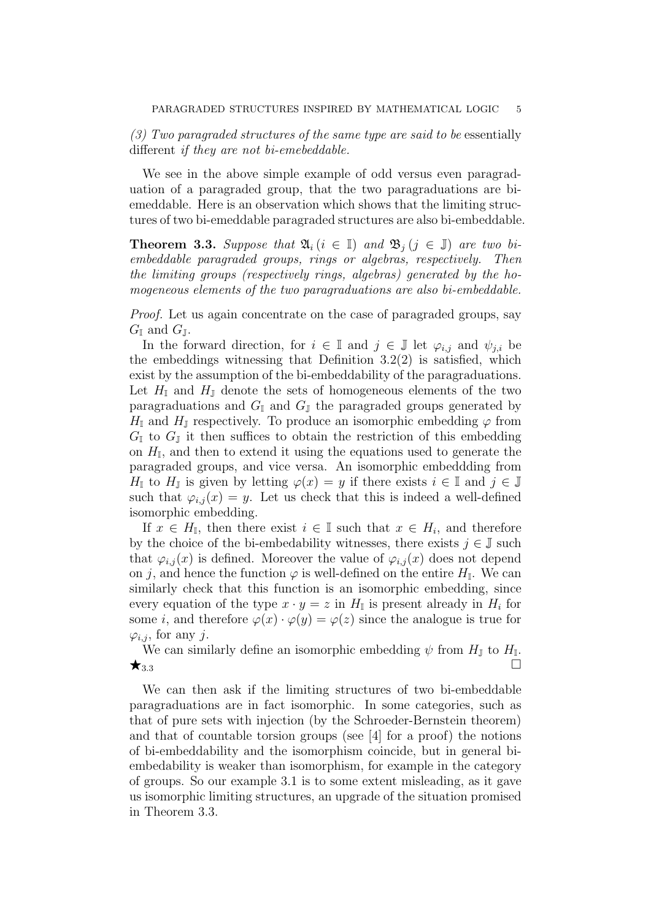$(3)$  Two paragraded structures of the same type are said to be essentially different if they are not bi-emebeddable.

We see in the above simple example of odd versus even paragraduation of a paragraded group, that the two paragraduations are biemeddable. Here is an observation which shows that the limiting structures of two bi-emeddable paragraded structures are also bi-embeddable.

**Theorem 3.3.** Suppose that  $\mathfrak{A}_i$  ( $i \in \mathbb{I}$ ) and  $\mathfrak{B}_i$  ( $j \in \mathbb{J}$ ) are two biembeddable paragraded groups, rings or algebras, respectively. Then the limiting groups (respectively rings, algebras) generated by the homogeneous elements of the two paragraduations are also bi-embeddable.

Proof. Let us again concentrate on the case of paragraded groups, say  $G_{\mathbb{I}}$  and  $G_{\mathbb{I}}$ .

In the forward direction, for  $i \in \mathbb{I}$  and  $j \in \mathbb{J}$  let  $\varphi_{i,j}$  and  $\psi_{j,i}$  be the embeddings witnessing that Definition 3.2(2) is satisfied, which exist by the assumption of the bi-embeddability of the paragraduations. Let  $H_{\mathbb{I}}$  and  $H_{\mathbb{J}}$  denote the sets of homogeneous elements of the two paragraduations and  $G_{\mathbb{I}}$  and  $G_{\mathbb{J}}$  the paragraded groups generated by  $H_{\mathbb{I}}$  and  $H_{\mathbb{J}}$  respectively. To produce an isomorphic embedding  $\varphi$  from  $G_{\mathbb{I}}$  to  $G_{\mathbb{I}}$  it then suffices to obtain the restriction of this embedding on  $H_{\mathbb{I}}$ , and then to extend it using the equations used to generate the paragraded groups, and vice versa. An isomorphic embeddding from  $H_{\mathbb{I}}$  to  $H_{\mathbb{J}}$  is given by letting  $\varphi(x) = y$  if there exists  $i \in \mathbb{I}$  and  $j \in \mathbb{J}$ such that  $\varphi_{i,j}(x) = y$ . Let us check that this is indeed a well-defined isomorphic embedding.

If  $x \in H_{\mathbb{I}}$ , then there exist  $i \in \mathbb{I}$  such that  $x \in H_i$ , and therefore by the choice of the bi-embedability witnesses, there exists  $j \in \mathbb{J}$  such that  $\varphi_{i,j}(x)$  is defined. Moreover the value of  $\varphi_{i,j}(x)$  does not depend on j, and hence the function  $\varphi$  is well-defined on the entire  $H_{\mathbb{I}}$ . We can similarly check that this function is an isomorphic embedding, since every equation of the type  $x \cdot y = z$  in  $H_{\mathbb{I}}$  is present already in  $H_i$  for some *i*, and therefore  $\varphi(x) \cdot \varphi(y) = \varphi(z)$  since the analogue is true for  $\varphi_{i,j}$ , for any j.

We can similarly define an isomorphic embedding  $\psi$  from  $H_{\mathbb{J}}$  to  $H_{\mathbb{I}}$ .  $\star$ <sub>3.3</sub>

We can then ask if the limiting structures of two bi-embeddable paragraduations are in fact isomorphic. In some categories, such as that of pure sets with injection (by the Schroeder-Bernstein theorem) and that of countable torsion groups (see [4] for a proof) the notions of bi-embeddability and the isomorphism coincide, but in general biembedability is weaker than isomorphism, for example in the category of groups. So our example 3.1 is to some extent misleading, as it gave us isomorphic limiting structures, an upgrade of the situation promised in Theorem 3.3.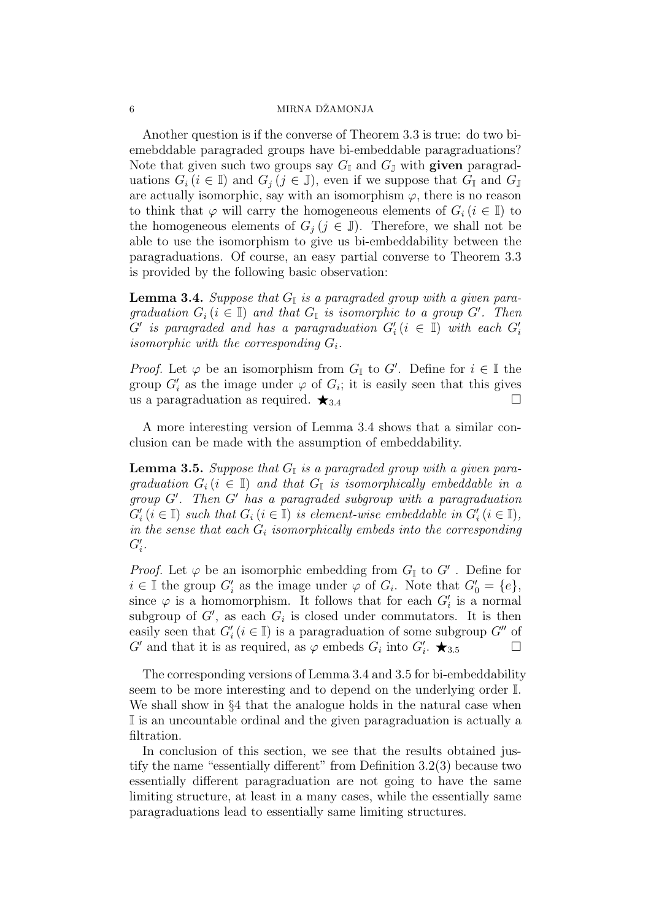#### 6 MIRNA DŻAMONJA

Another question is if the converse of Theorem 3.3 is true: do two biemebddable paragraded groups have bi-embeddable paragraduations? Note that given such two groups say  $G_{\mathbb{I}}$  and  $G_{\mathbb{J}}$  with **given** paragraduations  $G_i$  ( $i \in \mathbb{I}$ ) and  $G_j$  ( $j \in \mathbb{J}$ ), even if we suppose that  $G_{\mathbb{I}}$  and  $G_{\mathbb{J}}$ are actually isomorphic, say with an isomorphism  $\varphi$ , there is no reason to think that  $\varphi$  will carry the homogeneous elements of  $G_i$  ( $i \in \mathbb{I}$ ) to the homogeneous elements of  $G_j$  ( $j \in \mathbb{J}$ ). Therefore, we shall not be able to use the isomorphism to give us bi-embeddability between the paragraduations. Of course, an easy partial converse to Theorem 3.3 is provided by the following basic observation:

**Lemma 3.4.** Suppose that  $G_{\mathbb{I}}$  is a paragraded group with a given paragraduation  $G_i$  ( $i \in \mathbb{I}$ ) and that  $G_{\mathbb{I}}$  is isomorphic to a group  $G'$ . Then  $\tilde{G}'$  is paragraded and has a paragraduation  $G'_i$   $(i~\in~\mathbb{I})$  with each  $G'_i$ isomorphic with the corresponding  $G_i$ .

*Proof.* Let  $\varphi$  be an isomorphism from  $G_{\mathbb{I}}$  to  $G'$ . Define for  $i \in \mathbb{I}$  the group  $G_i'$  as the image under  $\varphi$  of  $G_i$ ; it is easily seen that this gives us a paragraduation as required.  $\bigstar_{3.4}$ 

A more interesting version of Lemma 3.4 shows that a similar conclusion can be made with the assumption of embeddability.

**Lemma 3.5.** Suppose that  $G_{\mathbb{I}}$  is a paragraded group with a given paragraduation  $G_i$  ( $i \in \mathbb{I}$ ) and that  $G_{\mathbb{I}}$  is isomorphically embeddable in a  $group G'.$  Then  $G'$  has a paragraded subgroup with a paragraduation  $G_i'(i \in \mathbb{I})$  such that  $G_i$   $(i \in \mathbb{I})$  is element-wise embeddable in  $G_i'(i \in \mathbb{I})$ , in the sense that each  $G_i$  isomorphically embeds into the corresponding  $G_i'.$ 

*Proof.* Let  $\varphi$  be an isomorphic embedding from  $G_{\mathbb{I}}$  to  $G'$ . Define for  $i \in \mathbb{I}$  the group  $G_i'$  as the image under  $\varphi$  of  $G_i$ . Note that  $G_0' = \{e\},$ since  $\varphi$  is a homomorphism. It follows that for each  $G_i'$  is a normal subgroup of  $G'$ , as each  $G_i$  is closed under commutators. It is then easily seen that  $G_i'(i \in \mathbb{I})$  is a paragraduation of some subgroup  $G''$  of  $G'$  and that it is as required, as  $\varphi$  embeds  $G_i$  into  $G'_i$ .  $\bigstar_{3.5}$ 

The corresponding versions of Lemma 3.4 and 3.5 for bi-embeddability seem to be more interesting and to depend on the underlying order I. We shall show in  $\S 4$  that the analogue holds in the natural case when I is an uncountable ordinal and the given paragraduation is actually a filtration.

In conclusion of this section, we see that the results obtained justify the name "essentially different" from Definition 3.2(3) because two essentially different paragraduation are not going to have the same limiting structure, at least in a many cases, while the essentially same paragraduations lead to essentially same limiting structures.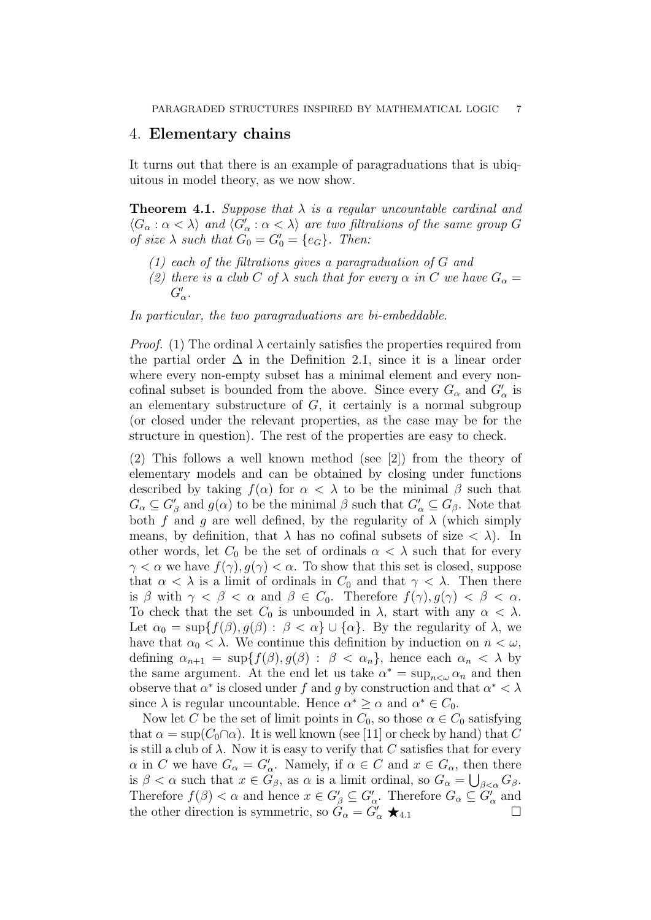### 4. Elementary chains

It turns out that there is an example of paragraduations that is ubiquitous in model theory, as we now show.

**Theorem 4.1.** Suppose that  $\lambda$  is a regular uncountable cardinal and  $\langle G_\alpha : \alpha < \lambda \rangle$  and  $\langle G'_\alpha : \alpha < \lambda \rangle$  are two filtrations of the same group G of size  $\lambda$  such that  $G_0 = G'_0 = \{e_G\}$ . Then:

- (1) each of the filtrations gives a paragraduation of G and
- (2) there is a club C of  $\lambda$  such that for every  $\alpha$  in C we have  $G_{\alpha} =$  $G'_\alpha$ .

In particular, the two paragraduations are bi-embeddable.

*Proof.* (1) The ordinal  $\lambda$  certainly satisfies the properties required from the partial order  $\Delta$  in the Definition 2.1, since it is a linear order where every non-empty subset has a minimal element and every noncofinal subset is bounded from the above. Since every  $G_{\alpha}$  and  $G'_{\alpha}$  is an elementary substructure of  $G$ , it certainly is a normal subgroup (or closed under the relevant properties, as the case may be for the structure in question). The rest of the properties are easy to check.

(2) This follows a well known method (see [2]) from the theory of elementary models and can be obtained by closing under functions described by taking  $f(\alpha)$  for  $\alpha < \lambda$  to be the minimal  $\beta$  such that  $G_{\alpha} \subseteq G_{\beta}'$  and  $g(\alpha)$  to be the minimal  $\beta$  such that  $G_{\alpha}' \subseteq G_{\beta}$ . Note that both f and g are well defined, by the regularity of  $\lambda$  (which simply means, by definition, that  $\lambda$  has no cofinal subsets of size  $\langle \lambda \rangle$ . In other words, let  $C_0$  be the set of ordinals  $\alpha < \lambda$  such that for every  $\gamma < \alpha$  we have  $f(\gamma)$ ,  $g(\gamma) < \alpha$ . To show that this set is closed, suppose that  $\alpha < \lambda$  is a limit of ordinals in  $C_0$  and that  $\gamma < \lambda$ . Then there is  $\beta$  with  $\gamma < \beta < \alpha$  and  $\beta \in C_0$ . Therefore  $f(\gamma), g(\gamma) < \beta < \alpha$ . To check that the set  $C_0$  is unbounded in  $\lambda$ , start with any  $\alpha < \lambda$ . Let  $\alpha_0 = \sup\{f(\beta), g(\beta) : \beta < \alpha\} \cup \{\alpha\}.$  By the regularity of  $\lambda$ , we have that  $\alpha_0 < \lambda$ . We continue this definition by induction on  $n < \omega$ , defining  $\alpha_{n+1} = \sup\{f(\beta), g(\beta) : \beta < \alpha_n\}$ , hence each  $\alpha_n < \lambda$  by the same argument. At the end let us take  $\alpha^* = \sup_{n \leq \omega} \alpha_n$  and then observe that  $\alpha^*$  is closed under f and g by construction and that  $\alpha^* < \lambda$ since  $\lambda$  is regular uncountable. Hence  $\alpha^* \geq \alpha$  and  $\alpha^* \in C_0$ .

Now let C be the set of limit points in  $C_0$ , so those  $\alpha \in C_0$  satisfying that  $\alpha = \sup(C_0 \cap \alpha)$ . It is well known (see [11] or check by hand) that C is still a club of  $\lambda$ . Now it is easy to verify that C satisfies that for every  $\alpha$  in C we have  $G_{\alpha} = G_{\alpha}'$ . Namely, if  $\alpha \in C$  and  $x \in G_{\alpha}$ , then there is  $\beta < \alpha$  such that  $x \in G_\beta$ , as  $\alpha$  is a limit ordinal, so  $G_\alpha = \bigcup_{\beta < \alpha} G_\beta$ . Therefore  $f(\beta) < \alpha$  and hence  $x \in G_{\beta}' \subseteq G_{\alpha}'$ . Therefore  $G_{\alpha} \subseteq G_{\alpha}'$  and the other direction is symmetric, so  $\tilde{G}_{\alpha} = \tilde{G}'_{\alpha} \star_{4.1}$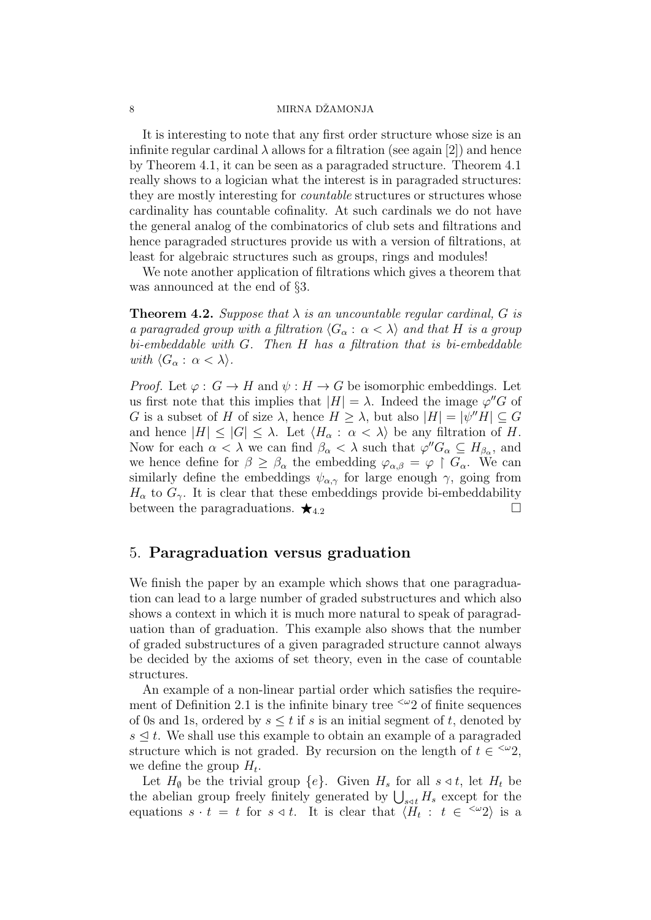#### 8 MIRNA DŻAMONJA

It is interesting to note that any first order structure whose size is an infinite regular cardinal  $\lambda$  allows for a filtration (see again [2]) and hence by Theorem 4.1, it can be seen as a paragraded structure. Theorem 4.1 really shows to a logician what the interest is in paragraded structures: they are mostly interesting for countable structures or structures whose cardinality has countable cofinality. At such cardinals we do not have the general analog of the combinatorics of club sets and filtrations and hence paragraded structures provide us with a version of filtrations, at least for algebraic structures such as groups, rings and modules!

We note another application of filtrations which gives a theorem that was announced at the end of §3.

**Theorem 4.2.** Suppose that  $\lambda$  is an uncountable regular cardinal, G is a paragraded group with a filtration  $\langle G_\alpha : \alpha < \lambda \rangle$  and that H is a group  $bi-embeddable$  with  $G$ . Then  $H$  has a filtration that is bi-embeddable with  $\langle G_\alpha : \alpha < \lambda \rangle$ .

*Proof.* Let  $\varphi : G \to H$  and  $\psi : H \to G$  be isomorphic embeddings. Let us first note that this implies that  $|H| = \lambda$ . Indeed the image  $\varphi''G$  of G is a subset of H of size  $\lambda$ , hence  $H \geq \lambda$ , but also  $|H| = |\psi''H| \subseteq G$ and hence  $|H| \leq |G| \leq \lambda$ . Let  $\langle H_{\alpha} : \alpha < \lambda \rangle$  be any filtration of H. Now for each  $\alpha < \lambda$  we can find  $\beta_{\alpha} < \lambda$  such that  $\varphi'' G_{\alpha} \subseteq H_{\beta_{\alpha}}$ , and we hence define for  $\beta \geq \beta_{\alpha}$  the embedding  $\varphi_{\alpha,\beta} = \varphi \restriction G_{\alpha}$ . We can similarly define the embeddings  $\psi_{\alpha,\gamma}$  for large enough  $\gamma$ , going from  $H_{\alpha}$  to  $G_{\gamma}$ . It is clear that these embeddings provide bi-embeddability between the paragraduations.  $\star$ <sub>4.2</sub>

### 5. Paragraduation versus graduation

We finish the paper by an example which shows that one paragraduation can lead to a large number of graded substructures and which also shows a context in which it is much more natural to speak of paragraduation than of graduation. This example also shows that the number of graded substructures of a given paragraded structure cannot always be decided by the axioms of set theory, even in the case of countable structures.

An example of a non-linear partial order which satisfies the requirement of Definition 2.1 is the infinite binary tree  $\leq \omega$  of finite sequences of 0s and 1s, ordered by  $s \leq t$  if s is an initial segment of t, denoted by  $s \leq t$ . We shall use this example to obtain an example of a paragraded structure which is not graded. By recursion on the length of  $t \in \frac{<\omega}{2}$ , we define the group  $H_t$ .

Let  $H_{\emptyset}$  be the trivial group  $\{e\}$ . Given  $H_s$  for all  $s \triangleleft t$ , let  $H_t$  be the abelian group freely finitely generated by  $\bigcup_{s \triangleleft t} H_s$  except for the equations  $s \cdot t = t$  for  $s \triangleleft t$ . It is clear that  $\langle H_t : t \in \langle \omega_2 \rangle$  is a